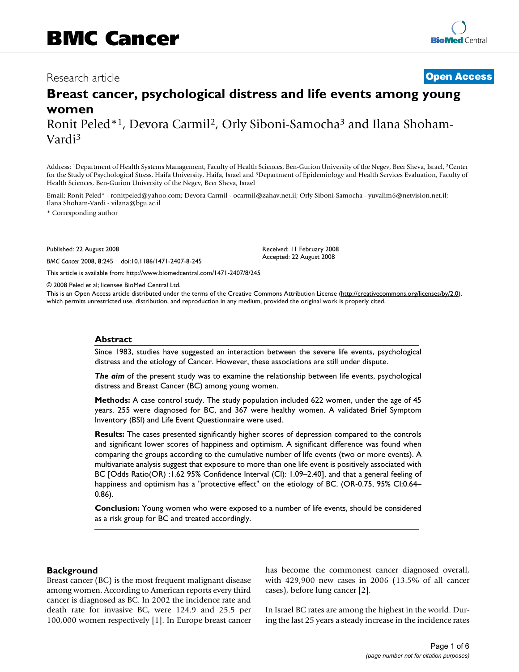## Research article **[Open Access](http://www.biomedcentral.com/info/about/charter/)**

# **Breast cancer, psychological distress and life events among young women**

Ronit Peled\*1, Devora Carmil2, Orly Siboni-Samocha3 and Ilana Shoham-Vardi3

Address: 1Department of Health Systems Management, Faculty of Health Sciences, Ben-Gurion University of the Negev, Beer Sheva, Israel, 2Center for the Study of Psychological Stress, Haifa University, Haifa, Israel and 3Department of Epidemiology and Health Services Evaluation, Faculty of Health Sciences, Ben-Gurion University of the Negev, Beer Sheva, Israel

Email: Ronit Peled\* - ronitpeled@yahoo.com; Devora Carmil - ocarmil@zahav.net.il; Orly Siboni-Samocha - yuvalim6@netvision.net.il; Ilana Shoham-Vardi - vilana@bgu.ac.il

\* Corresponding author

Published: 22 August 2008

*BMC Cancer* 2008, **8**:245 doi:10.1186/1471-2407-8-245

[This article is available from: http://www.biomedcentral.com/1471-2407/8/245](http://www.biomedcentral.com/1471-2407/8/245)

© 2008 Peled et al; licensee BioMed Central Ltd.

This is an Open Access article distributed under the terms of the Creative Commons Attribution License [\(http://creativecommons.org/licenses/by/2.0\)](http://creativecommons.org/licenses/by/2.0), which permits unrestricted use, distribution, and reproduction in any medium, provided the original work is properly cited.

Received: 11 February 2008 Accepted: 22 August 2008

#### **Abstract**

Since 1983, studies have suggested an interaction between the severe life events, psychological distress and the etiology of Cancer. However, these associations are still under dispute.

*The aim* of the present study was to examine the relationship between life events, psychological distress and Breast Cancer (BC) among young women.

**Methods:** A case control study. The study population included 622 women, under the age of 45 years. 255 were diagnosed for BC, and 367 were healthy women. A validated Brief Symptom Inventory (BSI) and Life Event Questionnaire were used.

**Results:** The cases presented significantly higher scores of depression compared to the controls and significant lower scores of happiness and optimism. A significant difference was found when comparing the groups according to the cumulative number of life events (two or more events). A multivariate analysis suggest that exposure to more than one life event is positively associated with BC [Odds Ratio(OR) :1.62 95% Confidence Interval (CI): 1.09–2.40], and that a general feeling of happiness and optimism has a "protective effect" on the etiology of BC. (OR-0.75, 95% CI:0.64– 0.86).

**Conclusion:** Young women who were exposed to a number of life events, should be considered as a risk group for BC and treated accordingly.

## **Background**

Breast cancer (BC) is the most frequent malignant disease among women. According to American reports every third cancer is diagnosed as BC. In 2002 the incidence rate and death rate for invasive BC, were 124.9 and 25.5 per 100,000 women respectively [1]. In Europe breast cancer has become the commonest cancer diagnosed overall, with 429,900 new cases in 2006 (13.5% of all cancer cases), before lung cancer [2].

In Israel BC rates are among the highest in the world. During the last 25 years a steady increase in the incidence rates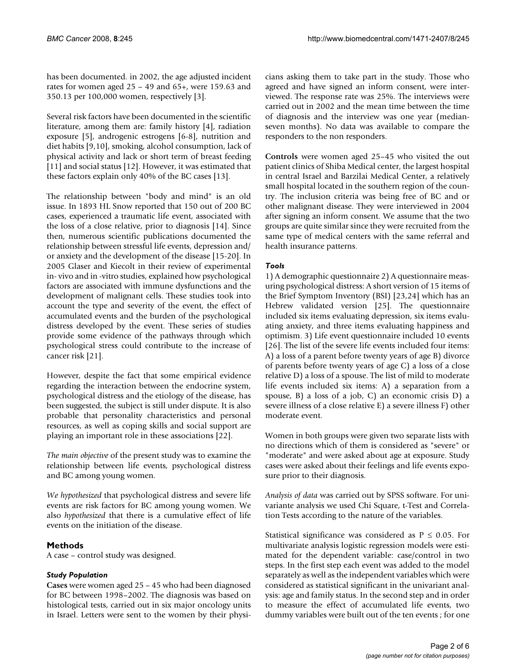has been documented. in 2002, the age adjusted incident rates for women aged 25 – 49 and 65+, were 159.63 and 350.13 per 100,000 women, respectively [3].

Several risk factors have been documented in the scientific literature, among them are: family history [4], radiation exposure [5], androgenic estrogens [6-8], nutrition and diet habits [9,10], smoking, alcohol consumption, lack of physical activity and lack or short term of breast feeding [11] and social status [12]. However, it was estimated that these factors explain only 40% of the BC cases [13].

The relationship between "body and mind" is an old issue. In 1893 HL Snow reported that 150 out of 200 BC cases, experienced a traumatic life event, associated with the loss of a close relative, prior to diagnosis [14]. Since then, numerous scientific publications documented the relationship between stressful life events, depression and/ or anxiety and the development of the disease [15-20]. In 2005 Glaser and Kiecolt in their review of experimental in- vivo and in -vitro studies, explained how psychological factors are associated with immune dysfunctions and the development of malignant cells. These studies took into account the type and severity of the event, the effect of accumulated events and the burden of the psychological distress developed by the event. These series of studies provide some evidence of the pathways through which psychological stress could contribute to the increase of cancer risk [21].

However, despite the fact that some empirical evidence regarding the interaction between the endocrine system, psychological distress and the etiology of the disease, has been suggested, the subject is still under dispute. It is also probable that personality characteristics and personal resources, as well as coping skills and social support are playing an important role in these associations [22].

*The main objective* of the present study was to examine the relationship between life events, psychological distress and BC among young women.

*We hypothesized* that psychological distress and severe life events are risk factors for BC among young women. We also *hypothesized* that there is a cumulative effect of life events on the initiation of the disease.

## **Methods**

A case – control study was designed.

## *Study Population*

**Cases** were women aged 25 – 45 who had been diagnosed for BC between 1998–2002. The diagnosis was based on histological tests, carried out in six major oncology units in Israel. Letters were sent to the women by their physicians asking them to take part in the study. Those who agreed and have signed an inform consent, were interviewed. The response rate was 25%. The interviews were carried out in 2002 and the mean time between the time of diagnosis and the interview was one year (medianseven months). No data was available to compare the responders to the non responders.

**Controls** were women aged 25–45 who visited the out patient clinics of Shiba Medical center, the largest hospital in central Israel and Barzilai Medical Center, a relatively small hospital located in the southern region of the country. The inclusion criteria was being free of BC and or other malignant disease. They were interviewed in 2004 after signing an inform consent. We assume that the two groups are quite similar since they were recruited from the same type of medical centers with the same referral and health insurance patterns.

## *Tools*

1) A demographic questionnaire 2) A questionnaire measuring psychological distress: A short version of 15 items of the Brief Symptom Inventory (BSI) [23,24] which has an Hebrew validated version [25]. The questionnaire included six items evaluating depression, six items evaluating anxiety, and three items evaluating happiness and optimism. 3) Life event questionnaire included 10 events [26]. The list of the severe life events included four items: A) a loss of a parent before twenty years of age B) divorce of parents before twenty years of age C) a loss of a close relative D) a loss of a spouse. The list of mild to moderate life events included six items: A) a separation from a spouse, B) a loss of a job, C) an economic crisis D) a severe illness of a close relative E) a severe illness F) other moderate event.

Women in both groups were given two separate lists with no directions which of them is considered as "severe" or "moderate" and were asked about age at exposure. Study cases were asked about their feelings and life events exposure prior to their diagnosis.

*Analysis of data* was carried out by SPSS software. For univariante analysis we used Chi Square, t-Test and Correlation Tests according to the nature of the variables.

Statistical significance was considered as  $P \le 0.05$ . For multivariate analysis logistic regression models were estimated for the dependent variable: case/control in two steps. In the first step each event was added to the model separately as well as the independent variables which were considered as statistical significant in the univariant analysis: age and family status. In the second step and in order to measure the effect of accumulated life events, two dummy variables were built out of the ten events ; for one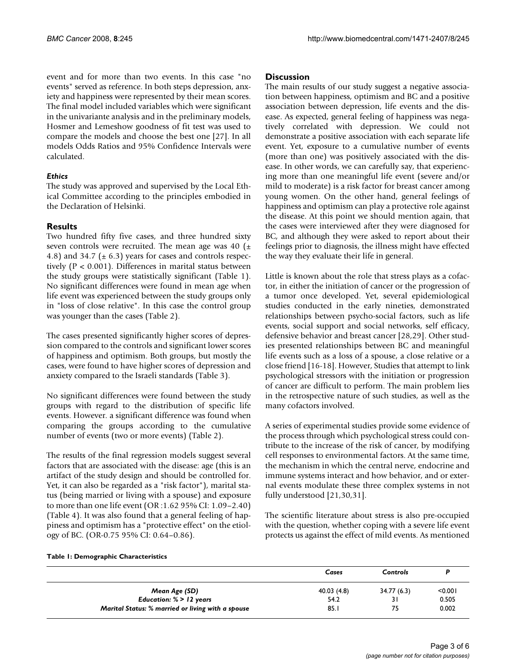event and for more than two events. In this case "no events" served as reference. In both steps depression, anxiety and happiness were represented by their mean scores. The final model included variables which were significant in the univariante analysis and in the preliminary models, Hosmer and Lemeshow goodness of fit test was used to compare the models and choose the best one [27]. In all models Odds Ratios and 95% Confidence Intervals were calculated.

## *Ethics*

The study was approved and supervised by the Local Ethical Committee according to the principles embodied in the Declaration of Helsinki.

## **Results**

Two hundred fifty five cases, and three hundred sixty seven controls were recruited. The mean age was 40  $(\pm$ 4.8) and 34.7 ( $\pm$  6.3) years for cases and controls respectively (P < 0.001). Differences in marital status between the study groups were statistically significant (Table 1). No significant differences were found in mean age when life event was experienced between the study groups only in "loss of close relative". In this case the control group was younger than the cases (Table 2).

The cases presented significantly higher scores of depression compared to the controls and significant lower scores of happiness and optimism. Both groups, but mostly the cases, were found to have higher scores of depression and anxiety compared to the Israeli standards (Table 3).

No significant differences were found between the study groups with regard to the distribution of specific life events. However. a significant difference was found when comparing the groups according to the cumulative number of events (two or more events) (Table 2).

The results of the final regression models suggest several factors that are associated with the disease: age (this is an artifact of the study design and should be controlled for. Yet, it can also be regarded as a "risk factor"), marital status (being married or living with a spouse) and exposure to more than one life event (OR :1.62 95% CI: 1.09–2.40) (Table 4). It was also found that a general feeling of happiness and optimism has a "protective effect" on the etiology of BC. (OR-0.75 95% CI: 0.64–0.86).

## **Discussion**

The main results of our study suggest a negative association between happiness, optimism and BC and a positive association between depression, life events and the disease. As expected, general feeling of happiness was negatively correlated with depression. We could not demonstrate a positive association with each separate life event. Yet, exposure to a cumulative number of events (more than one) was positively associated with the disease. In other words, we can carefully say, that experiencing more than one meaningful life event (severe and/or mild to moderate) is a risk factor for breast cancer among young women. On the other hand, general feelings of happiness and optimism can play a protective role against the disease. At this point we should mention again, that the cases were interviewed after they were diagnosed for BC, and although they were asked to report about their feelings prior to diagnosis, the illness might have effected the way they evaluate their life in general.

Little is known about the role that stress plays as a cofactor, in either the initiation of cancer or the progression of a tumor once developed. Yet, several epidemiological studies conducted in the early nineties, demonstrated relationships between psycho-social factors, such as life events, social support and social networks, self efficacy, defensive behavior and breast cancer [28,29]. Other studies presented relationships between BC and meaningful life events such as a loss of a spouse, a close relative or a close friend [16-18]. However, Studies that attempt to link psychological stressors with the initiation or progression of cancer are difficult to perform. The main problem lies in the retrospective nature of such studies, as well as the many cofactors involved.

A series of experimental studies provide some evidence of the process through which psychological stress could contribute to the increase of the risk of cancer, by modifying cell responses to environmental factors. At the same time, the mechanism in which the central nerve, endocrine and immune systems interact and how behavior, and or external events modulate these three complex systems in not fully understood [21,30,31].

The scientific literature about stress is also pre-occupied with the question, whether coping with a severe life event protects us against the effect of mild events. As mentioned

## **Table 1: Demographic Characteristics**

|                                                   | Cases       | Controls   |         |
|---------------------------------------------------|-------------|------------|---------|
| Mean Age (SD)                                     | 40.03 (4.8) | 34.77(6.3) | < 0.001 |
| Education: $% > 12$ years                         | 54.2        | 31         | 0.505   |
| Marital Status: % married or living with a spouse | 85.1        | 75         | 0.002   |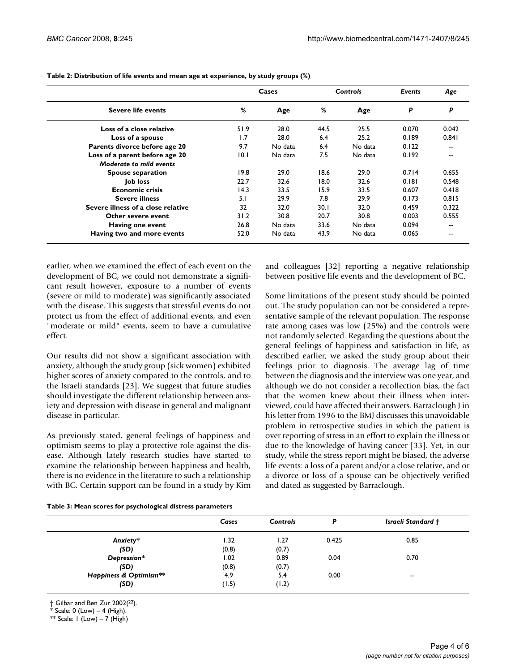| <b>Severe life events</b>          |      | Cases   | Controls |         | Events | Age   |
|------------------------------------|------|---------|----------|---------|--------|-------|
|                                    | %    | Age     | %        | Age     | P      | P     |
| Loss of a close relative           | 51.9 | 28.0    | 44.5     | 25.5    | 0.070  | 0.042 |
| Loss of a spouse                   | 1.7  | 28.0    | 6.4      | 25.2    | 0.189  | 0.841 |
| Parents divorce before age 20      | 9.7  | No data | 6.4      | No data | 0.122  | --    |
| Loss of a parent before age 20     | 10.1 | No data | 7.5      | No data | 0.192  | --    |
| Moderate to mild events            |      |         |          |         |        |       |
| <b>Spouse separation</b>           | 19.8 | 29.0    | 18.6     | 29.0    | 0.714  | 0.655 |
| Job loss                           | 22.7 | 32.6    | 18.0     | 32.6    | 0.181  | 0.548 |
| <b>Economic crisis</b>             | 14.3 | 33.5    | 15.9     | 33.5    | 0.607  | 0.418 |
| <b>Severe illness</b>              | 5.1  | 29.9    | 7.8      | 29.9    | 0.173  | 0.815 |
| Severe illness of a close relative | 32   | 32.0    | 30.1     | 32.0    | 0.459  | 0.322 |
| Other severe event                 | 31.2 | 30.8    | 20.7     | 30.8    | 0.003  | 0.555 |
| Having one event                   | 26.8 | No data | 33.6     | No data | 0.094  | --    |
| Having two and more events         | 52.0 | No data | 43.9     | No data | 0.065  | --    |

**Table 2: Distribution of life events and mean age at experience, by study groups (%)**

earlier, when we examined the effect of each event on the development of BC, we could not demonstrate a significant result however, exposure to a number of events (severe or mild to moderate) was significantly associated with the disease. This suggests that stressful events do not protect us from the effect of additional events, and even "moderate or mild" events, seem to have a cumulative effect.

Our results did not show a significant association with anxiety, although the study group (sick women) exhibited higher scores of anxiety compared to the controls, and to the Israeli standards [23]. We suggest that future studies should investigate the different relationship between anxiety and depression with disease in general and malignant disease in particular.

As previously stated, general feelings of happiness and optimism seems to play a protective role against the disease. Although lately research studies have started to examine the relationship between happiness and health, there is no evidence in the literature to such a relationship with BC. Certain support can be found in a study by Kim

and colleagues [32] reporting a negative relationship between positive life events and the development of BC.

Some limitations of the present study should be pointed out. The study population can not be considered a representative sample of the relevant population. The response rate among cases was low (25%) and the controls were not randomly selected. Regarding the questions about the general feelings of happiness and satisfaction in life, as described earlier, we asked the study group about their feelings prior to diagnosis. The average lag of time between the diagnosis and the interview was one year, and although we do not consider a recollection bias, the fact that the women knew about their illness when interviewed, could have affected their answers. Barraclough J in his letter from 1996 to the BMJ discusses this unavoidable problem in retrospective studies in which the patient is over reporting of stress in an effort to explain the illness or due to the knowledge of having cancer [33]. Yet, in our study, while the stress report might be biased, the adverse life events: a loss of a parent and/or a close relative, and or a divorce or loss of a spouse can be objectively verified and dated as suggested by Barraclough.

|  |  | Table 3: Mean scores for psychological distress parameters |  |  |
|--|--|------------------------------------------------------------|--|--|
|--|--|------------------------------------------------------------|--|--|

|                        | Cases | <b>Controls</b> | P     | <b>Israeli Standard †</b> |
|------------------------|-------|-----------------|-------|---------------------------|
| Anxiety*               | 1.32  | 1.27            | 0.425 | 0.85                      |
| (SD)                   | (0.8) | (0.7)           |       |                           |
| Depression*            | 1.02  | 0.89            | 0.04  | 0.70                      |
| (SD)                   | (0.8) | (0.7)           |       |                           |
| Happiness & Optimism** | 4.9   | 5.4             | 0.00  | $\overline{\phantom{a}}$  |
| (SD)                   | (1.5) | (1.2)           |       |                           |

† Gilbar and Ben Zur 2002(22).

 $*$  Scale: 0 (Low)  $-4$  (High).

\*\* Scale:  $1 (Low) - 7 (High)$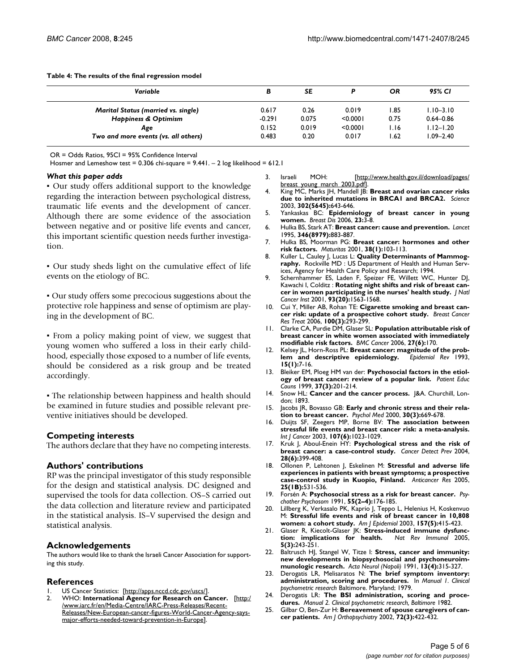**Table 4: The results of the final regression model**

| Variable                                   | в        | <b>SE</b> | D        | OR   | 95% CI        |
|--------------------------------------------|----------|-----------|----------|------|---------------|
| <b>Marital Status (married vs. single)</b> | 0.617    | 0.26      | 0.019    | 1.85 | $1.10 - 3.10$ |
| <b>Happiness &amp; Optimism</b>            | $-0.291$ | 0.075     | < 0.0001 | 0.75 | $0.64 - 0.86$ |
| Age                                        | 0.152    | 0.019     | < 0.0001 | I.I6 | $1.12 - 1.20$ |
| Two and more events (vs. all others)       | 0.483    | 0.20      | 0.017    | .62  | $1.09 - 2.40$ |

OR = Odds Ratios, 95CI = 95% Confidence Interval

Hosmer and Lemeshow test = 0.306 chi-square =  $9.441. - 2$  log likelihood = 612.1

#### *What this paper adds*

▪ Our study offers additional support to the knowledge regarding the interaction between psychological distress, traumatic life events and the development of cancer. Although there are some evidence of the association between negative and or positive life events and cancer, this important scientific question needs further investigation.

▪ Our study sheds light on the cumulative effect of life events on the etiology of BC.

▪ Our study offers some precocious suggestions about the protective role happiness and sense of optimism are playing in the development of BC.

▪ From a policy making point of view, we suggest that young women who suffered a loss in their early childhood, especially those exposed to a number of life events, should be considered as a risk group and be treated accordingly.

▪ The relationship between happiness and health should be examined in future studies and possible relevant preventive initiatives should be developed.

## **Competing interests**

The authors declare that they have no competing interests.

#### **Authors' contributions**

RP was the principal investigator of this study responsible for the design and statistical analysis. DC designed and supervised the tools for data collection. OS–S carried out the data collection and literature review and participated in the statistical analysis. IS–V supervised the design and statistical analysis.

#### **Acknowledgements**

The authors would like to thank the Israeli Cancer Association for supporting this study.

## **References**

- US Cancer Statistics: [[http://apps.nccd.cdc.gov/uscs/\]](http://apps.nccd.cdc.gov/uscs/)
- 2. WHO: **International Agency for Research on Cancer.** [[http:/](http://www.iarc.fr/en/Media-Centre/IARC-Press-Releases/Recent-Releases/New-European-cancer-figures-World-Cancer-Agency-says-major-efforts-needed-toward-prevention-in-Europe) /www.iarc.fr/en/Media-Centre/IARC-Press-Releases/Recent-[Releases/New-European-cancer-figures-World-Cancer-Agency-says](http://www.iarc.fr/en/Media-Centre/IARC-Press-Releases/Recent-Releases/New-European-cancer-figures-World-Cancer-Agency-says-major-efforts-needed-toward-prevention-in-Europe)[major-efforts-needed-toward-prevention-in-Europe](http://www.iarc.fr/en/Media-Centre/IARC-Press-Releases/Recent-Releases/New-European-cancer-figures-World-Cancer-Agency-says-major-efforts-needed-toward-prevention-in-Europe)].

Israeli MOH: [\[http://www.health.gov.il/download/pages/](http://www.health.gov.il/download/pages/breast_young_march_2003.pdf) [breast\\_young\\_march\\_2003.pdf\]](http://www.health.gov.il/download/pages/breast_young_march_2003.pdf).

- 4. King MC, Marks JH, Mandell JB: **[Breast and ovarian cancer risks](http://www.ncbi.nlm.nih.gov/entrez/query.fcgi?cmd=Retrieve&db=PubMed&dopt=Abstract&list_uids=14576434) [due to inherited mutations in BRCA1 and BRCA2.](http://www.ncbi.nlm.nih.gov/entrez/query.fcgi?cmd=Retrieve&db=PubMed&dopt=Abstract&list_uids=14576434)** *Science* 2003, **302(5645):**643-646.
- 5. Yankaskas BC: **[Epidemiology of breast cancer in young](http://www.ncbi.nlm.nih.gov/entrez/query.fcgi?cmd=Retrieve&db=PubMed&dopt=Abstract&list_uids=16823161) [women.](http://www.ncbi.nlm.nih.gov/entrez/query.fcgi?cmd=Retrieve&db=PubMed&dopt=Abstract&list_uids=16823161)** *Breast Dis* 2006, **23:**3-8.
- 6. Hulka BS, Stark AT: **[Breast cancer: cause and prevention.](http://www.ncbi.nlm.nih.gov/entrez/query.fcgi?cmd=Retrieve&db=PubMed&dopt=Abstract&list_uids=7564675)** *Lancet* 1995, **346(8979):**883-887.
- 7. Hulka BS, Moorman PG: **[Breast cancer: hormones and other](http://www.ncbi.nlm.nih.gov/entrez/query.fcgi?cmd=Retrieve&db=PubMed&dopt=Abstract&list_uids=11311599) [risk factors.](http://www.ncbi.nlm.nih.gov/entrez/query.fcgi?cmd=Retrieve&db=PubMed&dopt=Abstract&list_uids=11311599)** *Maturitas* 2001, **38(1):**103-113.
- 8. Kuller L, Cauley J, Lucas L: **Quality Determinants of Mammography.** Rockville MD : US Department of Health and Human Services, Agency for Health Care Policy and Research; 1994.
- 9. Schernhammer ES, Laden F, Speizer FE, Willett WC, Hunter DJ, Kawachi I, Colditz : **[Rotating night shifts and risk of breast can](http://www.ncbi.nlm.nih.gov/entrez/query.fcgi?cmd=Retrieve&db=PubMed&dopt=Abstract&list_uids=11604480)[cer in women participating in the nurses' health study.](http://www.ncbi.nlm.nih.gov/entrez/query.fcgi?cmd=Retrieve&db=PubMed&dopt=Abstract&list_uids=11604480)** *J Natl Cancer Inst* 2001, **93(20):**1563-1568.
- 10. Cui Y, Miller AB, Rohan TE: **[Cigarette smoking and breast can](http://www.ncbi.nlm.nih.gov/entrez/query.fcgi?cmd=Retrieve&db=PubMed&dopt=Abstract&list_uids=16773435)[cer risk: update of a prospective cohort study.](http://www.ncbi.nlm.nih.gov/entrez/query.fcgi?cmd=Retrieve&db=PubMed&dopt=Abstract&list_uids=16773435)** *Breast Cancer Res Treat* 2006, **100(3):**293-299.
- 11. Clarke CA, Purdie DM, Glaser SL: **Population attributable risk of breast cancer in white women associated with immediately modifiable risk factors.** *BMC Cancer* 2006, **27(6):**170.
- 12. Kelsey JL, Horn-Ross PL: **[Breast cancer: magnitude of the prob](http://www.ncbi.nlm.nih.gov/entrez/query.fcgi?cmd=Retrieve&db=PubMed&dopt=Abstract&list_uids=8405214)**[lem and descriptive epidemiology.](http://www.ncbi.nlm.nih.gov/entrez/query.fcgi?cmd=Retrieve&db=PubMed&dopt=Abstract&list_uids=8405214) **15(1):**7-16.
- 13. Bleiker EM, Ploeg HM van der: **[Psychosocial factors in the etiol](http://www.ncbi.nlm.nih.gov/entrez/query.fcgi?cmd=Retrieve&db=PubMed&dopt=Abstract&list_uids=14528547)[ogy of breast cancer: review of a popular link.](http://www.ncbi.nlm.nih.gov/entrez/query.fcgi?cmd=Retrieve&db=PubMed&dopt=Abstract&list_uids=14528547)** *Patient Educ Couns* 1999, **37(3):**201-214.
- 14. Snow HL: **Cancer and the cancer process.** J&A. Churchill, London; 1893.
- 15. Jacobs JR, Bovasso GB: **[Early and chronic stress and their rela](http://www.ncbi.nlm.nih.gov/entrez/query.fcgi?cmd=Retrieve&db=PubMed&dopt=Abstract&list_uids=10883721)[tion to breast cancer.](http://www.ncbi.nlm.nih.gov/entrez/query.fcgi?cmd=Retrieve&db=PubMed&dopt=Abstract&list_uids=10883721)** *Psychol Med* 2000, **30(3):**669-678.
- 16. Duijts SF, Zeegers MP, Borne BV: **[The association between](http://www.ncbi.nlm.nih.gov/entrez/query.fcgi?cmd=Retrieve&db=PubMed&dopt=Abstract&list_uids=14601065) [stressful life events and breast cancer risk: a meta-analysis.](http://www.ncbi.nlm.nih.gov/entrez/query.fcgi?cmd=Retrieve&db=PubMed&dopt=Abstract&list_uids=14601065)** *Int J Cancer* 2003, **107(6):**1023-1029.
- 17. Kruk J, Aboul-Enein HY: **[Psychological stress and the risk of](http://www.ncbi.nlm.nih.gov/entrez/query.fcgi?cmd=Retrieve&db=PubMed&dopt=Abstract&list_uids=15582263) [breast cancer: a case-control study.](http://www.ncbi.nlm.nih.gov/entrez/query.fcgi?cmd=Retrieve&db=PubMed&dopt=Abstract&list_uids=15582263)** *Cancer Detect Prev* 2004, **28(6):**399-408.
- 18. Ollonen P, Lehtonen J, Eskelinen M: **[Stressful and adverse life](http://www.ncbi.nlm.nih.gov/entrez/query.fcgi?cmd=Retrieve&db=PubMed&dopt=Abstract&list_uids=15816624) [experiences in patients with breast symptoms; a prospective](http://www.ncbi.nlm.nih.gov/entrez/query.fcgi?cmd=Retrieve&db=PubMed&dopt=Abstract&list_uids=15816624) [case-control study in Kuopio, Finland.](http://www.ncbi.nlm.nih.gov/entrez/query.fcgi?cmd=Retrieve&db=PubMed&dopt=Abstract&list_uids=15816624)** *Anticancer Res* 2005, **25(1B):**531-536.
- 19. Forsén A: **[Psychosocial stress as a risk for breast cancer.](http://www.ncbi.nlm.nih.gov/entrez/query.fcgi?cmd=Retrieve&db=PubMed&dopt=Abstract&list_uids=1891566)** *Psychother Psychosom* 1991, **55(2–4):**176-185.
- 20. Lillberg K, Verkasalo PK, Kaprio J, Teppo L, Helenius H, Koskenvuo M: **[Stressful life events and risk of breast cancer in 10,808](http://www.ncbi.nlm.nih.gov/entrez/query.fcgi?cmd=Retrieve&db=PubMed&dopt=Abstract&list_uids=12615606) [women: a cohort study.](http://www.ncbi.nlm.nih.gov/entrez/query.fcgi?cmd=Retrieve&db=PubMed&dopt=Abstract&list_uids=12615606)** *Am J Epidemiol* 2003, **157(5):**415-423.
- 21. Glaser R, Kiecolt-Glaser JK: **[Stress-induced immune dysfunc](http://www.ncbi.nlm.nih.gov/entrez/query.fcgi?cmd=Retrieve&db=PubMed&dopt=Abstract&list_uids=15738954)**[tion: implications for health.](http://www.ncbi.nlm.nih.gov/entrez/query.fcgi?cmd=Retrieve&db=PubMed&dopt=Abstract&list_uids=15738954) **5(3):**243-251.
- 22. Baltrusch HJ, Stangel W, Titze I: **[Stress, cancer and immunity:](http://www.ncbi.nlm.nih.gov/entrez/query.fcgi?cmd=Retrieve&db=PubMed&dopt=Abstract&list_uids=1781308) [new developments in biopsychosocial and psychoneuroim](http://www.ncbi.nlm.nih.gov/entrez/query.fcgi?cmd=Retrieve&db=PubMed&dopt=Abstract&list_uids=1781308)[munologic research.](http://www.ncbi.nlm.nih.gov/entrez/query.fcgi?cmd=Retrieve&db=PubMed&dopt=Abstract&list_uids=1781308)** *Acta Neurol (Napoli)* 1991, **13(4):**315-327.
- 23. Derogatis LR, Melisaratos N: **The brief symptom inventory: administration, scoring and procedures.** In *Manual 1. Clinical psychometric research* Baltimore. Maryland; 1979.
- 24. Derogatis LR: **The BSI administration, scoring and procedures.** *Manual 2. Clinical psychometric research, Baltimore* 1982.
- 25. Gilbar O, Ben-Zur H: **[Bereavement of spouse caregivers of can](http://www.ncbi.nlm.nih.gov/entrez/query.fcgi?cmd=Retrieve&db=PubMed&dopt=Abstract&list_uids=15792054)[cer patients.](http://www.ncbi.nlm.nih.gov/entrez/query.fcgi?cmd=Retrieve&db=PubMed&dopt=Abstract&list_uids=15792054)** *Am J Orthopsychiatry* 2002, **72(3):**422-432.